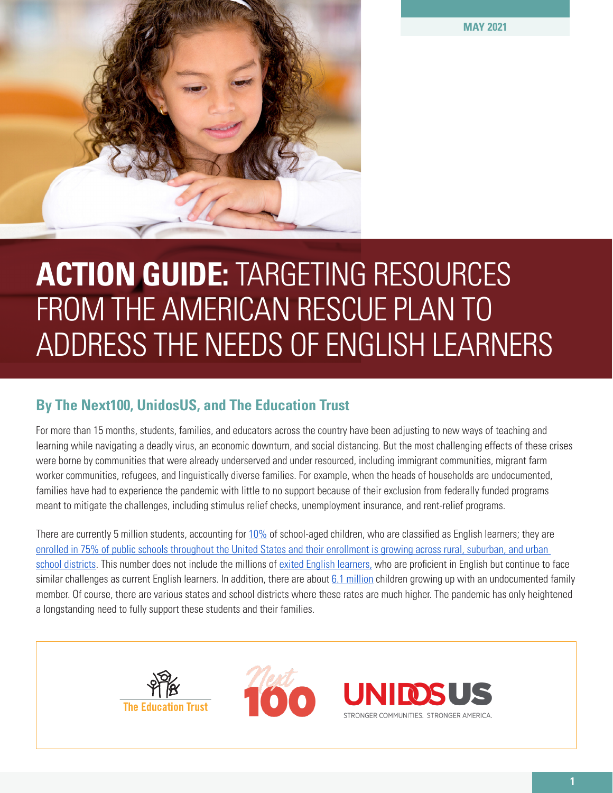**MAY 2021**



# **ACTION GUIDE:** TARGETING RESOURCES FROM THE AMERICAN RESCUE PLAN TO ADDRESS THE NEEDS OF ENGLISH LEARNERS

# **By The Next100, UnidosUS, and The Education Trust**

For more than 15 months, students, families, and educators across the country have been adjusting to new ways of teaching and learning while navigating a deadly virus, an economic downturn, and social distancing. But the most challenging effects of these crises were borne by communities that were already underserved and under resourced, including immigrant communities, migrant farm worker communities, refugees, and linguistically diverse families. For example, when the heads of households are undocumented, families have had to experience the pandemic with little to no support because of their exclusion from federally funded programs meant to mitigate the challenges, including stimulus relief checks, unemployment insurance, and rent-relief programs.

There are currently 5 million students, accounting for [10%](https://nces.ed.gov/programs/digest/d19/tables/dt19_204.20.asp?) of school-aged children, who are classified as English learners; they are [enrolled in 75% of public schools throughout the United States and their enrollment is growing across rural, suburban, and urban](https://journals.sagepub.com/doi/full/10.1177/0013161X18821364)  [school districts.](https://journals.sagepub.com/doi/full/10.1177/0013161X18821364) This number does not include the millions of [exited English learners](https://www2.ed.gov/about/offices/list/oela/english-learner-toolkit/chap8.pdf), who are proficient in English but continue to face similar challenges as current English learners. In addition, there are about [6.1 million](https://immigrationforum.org/article/mixed-status-families-and-covid-19-economic-relief/) children growing up with an undocumented family member. Of course, there are various states and school districts where these rates are much higher. The pandemic has only heightened a longstanding need to fully support these students and their families.

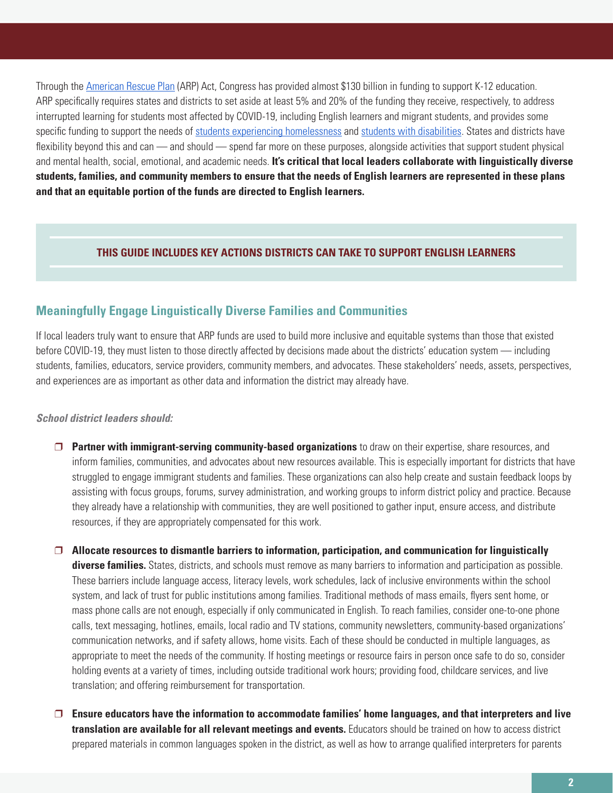Through the [American Rescue Plan](https://edtrust.org/resource/the-american-rescue-plan-act-of-2021-whats-in-it-for-equity/) (ARP) Act, Congress has provided almost \$130 billion in funding to support K-12 education. ARP specifically requires states and districts to set aside at least 5% and 20% of the funding they receive, respectively, to address interrupted learning for students most affected by COVID-19, including English learners and migrant students, and provides some specific funding to support the needs of [students experiencing homelessness](https://schoolhouseconnection.org/congress-passes-the-american-rescue-act-plan-funding-for-homeless-children-and-youth-included/) and [students with disabilities](https://www.ncld.org/news/policy-and-advocacy/additional-relief-for-students-families-and-schools-is-on-its-way/). States and districts have flexibility beyond this and can — and should — spend far more on these purposes, alongside activities that support student physical and mental health, social, emotional, and academic needs. **It's critical that local leaders collaborate with linguistically diverse students, families, and community members to ensure that the needs of English learners are represented in these plans and that an equitable portion of the funds are directed to English learners.** 

#### **THIS GUIDE INCLUDES KEY ACTIONS DISTRICTS CAN TAKE TO SUPPORT ENGLISH LEARNERS**

## **Meaningfully Engage Linguistically Diverse Families and Communities**

If local leaders truly want to ensure that ARP funds are used to build more inclusive and equitable systems than those that existed before COVID-19, they must listen to those directly affected by decisions made about the districts' education system — including students, families, educators, service providers, community members, and advocates. These stakeholders' needs, assets, perspectives, and experiences are as important as other data and information the district may already have.

#### *School district leaders should:*

- � **Partner with immigrant-serving community-based organizations** to draw on their expertise, share resources, and inform families, communities, and advocates about new resources available. This is especially important for districts that have struggled to engage immigrant students and families. These organizations can also help create and sustain feedback loops by assisting with focus groups, forums, survey administration, and working groups to inform district policy and practice. Because they already have a relationship with communities, they are well positioned to gather input, ensure access, and distribute resources, if they are appropriately compensated for this work.
- � **Allocate resources to dismantle barriers to information, participation, and communication for linguistically diverse families.** States, districts, and schools must remove as many barriers to information and participation as possible. These barriers include language access, literacy levels, work schedules, lack of inclusive environments within the school system, and lack of trust for public institutions among families. Traditional methods of mass emails, flyers sent home, or mass phone calls are not enough, especially if only communicated in English. To reach families, consider one-to-one phone calls, text messaging, hotlines, emails, local radio and TV stations, community newsletters, community-based organizations' communication networks, and if safety allows, home visits. Each of these should be conducted in multiple languages, as appropriate to meet the needs of the community. If hosting meetings or resource fairs in person once safe to do so, consider holding events at a variety of times, including outside traditional work hours; providing food, childcare services, and live translation; and offering reimbursement for transportation.
- � **Ensure educators have the information to accommodate families' home languages, and that interpreters and live translation are available for all relevant meetings and events.** Educators should be trained on how to access district prepared materials in common languages spoken in the district, as well as how to arrange qualified interpreters for parents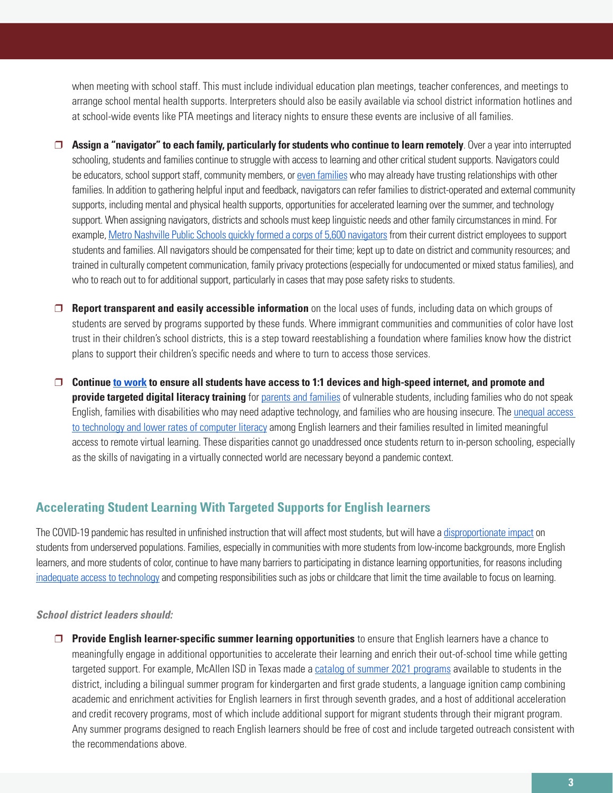when meeting with school staff. This must include individual education plan meetings, teacher conferences, and meetings to arrange school mental health supports. Interpreters should also be easily available via school district information hotlines and at school-wide events like PTA meetings and literacy nights to ensure these events are inclusive of all families.

- □ **Assign a "navigator" to each family, particularly for students who continue to learn remotely**. Over a year into interrupted schooling, students and families continue to struggle with access to learning and other critical student supports. Navigators could be educators, school support staff, community members, or [even families](https://www.lsna.net/pmp) who may already have trusting relationships with other families. In addition to gathering helpful input and feedback, navigators can refer families to district-operated and external community supports, including mental and physical health supports, opportunities for accelerated learning over the summer, and technology support. When assigning navigators, districts and schools must keep linguistic needs and other family circumstances in mind. For example, [Metro Nashville Public Schools quickly formed a corps of 5,600 navigators](https://www.the74million.org/article/nashvilles-navigator-tries-to-keep-students-in-remote-learning-from-getting-lost-in-the-system/#:~:text=In about a month %E2%80%94 light,of their normal classroom loads.) from their current district employees to support students and families. All navigators should be compensated for their time; kept up to date on district and community resources; and trained in culturally competent communication, family privacy protections (especially for undocumented or mixed status families), and who to reach out to for additional support, particularly in cases that may pose safety risks to students.
- □ **Report transparent and easily accessible information** on the local uses of funds, including data on which groups of students are served by programs supported by these funds. Where immigrant communities and communities of color have lost trust in their children's school districts, this is a step toward reestablishing a foundation where families know how the district plans to support their children's specific needs and where to turn to access those services.
- � **Continue [to work](https://futureready.org/homework-gap/) to ensure all students have access to 1:1 devices and high-speed internet, and promote and provide targeted digital literacy training** for [parents and families](https://tech.ed.gov/publications/digital-learning-guide/parent-family/) of vulnerable students, including families who do not speak English, families with disabilities who may need adaptive technology, and families who are housing insecure. The [unequal access](https://www.idra.org/resource-center/bridging-the-digital-divide-in-our-schools/)  [to technology and lower rates of computer literacy](https://www.idra.org/resource-center/bridging-the-digital-divide-in-our-schools/) among English learners and their families resulted in limited meaningful access to remote virtual learning. These disparities cannot go unaddressed once students return to in-person schooling, especially as the skills of navigating in a virtually connected world are necessary beyond a pandemic context.

# **Accelerating Student Learning With Targeted Supports for English learners**

The COVID-19 pandemic has resulted in unfinished instruction that will affect most students, but will have a [disproportionate impact](https://www.mckinsey.com/industries/public-and-social-sector/our-insights/covid-19-and-student-learning-in-the-united-states-the-hurt-could-last-a-lifetime) on students from underserved populations. Families, especially in communities with more students from low-income backgrounds, more English learners, and more students of color, continue to have many barriers to participating in distance learning opportunities, for reasons including [inadequate access to technology](https://futureready.org/homework-gap/) and competing responsibilities such as jobs or childcare that limit the time available to focus on learning.

#### *School district leaders should:*

� **Provide English learner-specific summer learning opportunities** to ensure that English learners have a chance to meaningfully engage in additional opportunities to accelerate their learning and enrich their out-of-school time while getting targeted support. For example, McAllen ISD in Texas made a [catalog of summer 2021 programs](https://www.flipbookpdf.net/web/site/5579bce2a77bac8383f1629ca15cd6a7497470d0202104.pdf.html#page/11) available to students in the district, including a bilingual summer program for kindergarten and first grade students, a language ignition camp combining academic and enrichment activities for English learners in first through seventh grades, and a host of additional acceleration and credit recovery programs, most of which include additional support for migrant students through their migrant program. Any summer programs designed to reach English learners should be free of cost and include targeted outreach consistent with the recommendations above.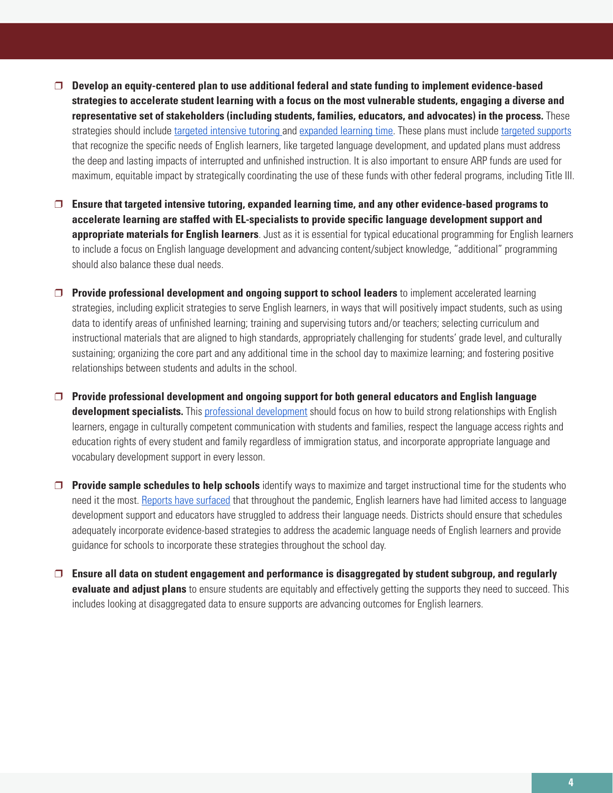- � **Develop an equity-centered plan to use additional federal and state funding to implement evidence-based strategies to accelerate student learning with a focus on the most vulnerable students, engaging a diverse and representative set of stakeholders (including students, families, educators, and advocates) in the process.** These strategies should include [targeted intensive tutoring](https://edtrust.org/resource/targeted-intensive-tutoring/#:~:text=Targeted intensive tutoring%2C often referred,such as math or reading.) and [expanded learning time.](https://edtrust.org/resource/expanded-learning-time/#:~:text=A Strategy to Solve Unfinished Learning&text=Research shows expanded learning time,instruction and learning students experience) These plans must include [targeted supports](https://annenberg.brown.edu/sites/default/files/EdResearch_for_Recovery_Brief_15.pdf) that recognize the specific needs of English learners, like targeted language development, and updated plans must address the deep and lasting impacts of interrupted and unfinished instruction. It is also important to ensure ARP funds are used for maximum, equitable impact by strategically coordinating the use of these funds with other federal programs, including Title III.
- � **Ensure that targeted intensive tutoring, expanded learning time, and any other evidence-based programs to accelerate learning are staffed with EL-specialists to provide specific language development support and appropriate materials for English learners**. Just as it is essential for typical educational programming for English learners to include a focus on English language development and advancing content/subject knowledge, "additional" programming should also balance these dual needs.
- □ **Provide professional development and ongoing support to school leaders** to implement accelerated learning strategies, including explicit strategies to serve English learners, in ways that will positively impact students, such as using data to identify areas of unfinished learning; training and supervising tutors and/or teachers; selecting curriculum and instructional materials that are aligned to high standards, appropriately challenging for students' grade level, and culturally sustaining; organizing the core part and any additional time in the school day to maximize learning; and fostering positive relationships between students and adults in the school.
- � **Provide professional development and ongoing support for both general educators and English language development specialists.** This [professional development](https://files.eric.ed.gov/fulltext/ED535608.pdf) [s](https://files.eric.ed.gov/fulltext/ED535608.pdf)hould focus on how to build strong relationships with English learners, engage in culturally competent communication with students and families, respect the language access rights and education rights of every student and family regardless of immigration status, and incorporate appropriate language and vocabulary development support in every lesson.
- □ **Provide sample schedules to help schools** identify ways to maximize and target instructional time for the students who need it the most. Reports have surfaced that throughout the pandemic, English learners have had limited access to language development support and educators have struggled to address their language needs. Districts should ensure that schedules adequately incorporate evidence-based strategies to address the academic language needs of English learners and provide guidance for schools to incorporate these strategies throughout the school day.
- � **Ensure all data on student engagement and performance is disaggregated by student subgroup, and regularly evaluate and adjust plans** to ensure students are equitably and effectively getting the supports they need to succeed. This includes looking at disaggregated data to ensure supports are advancing outcomes for English learners.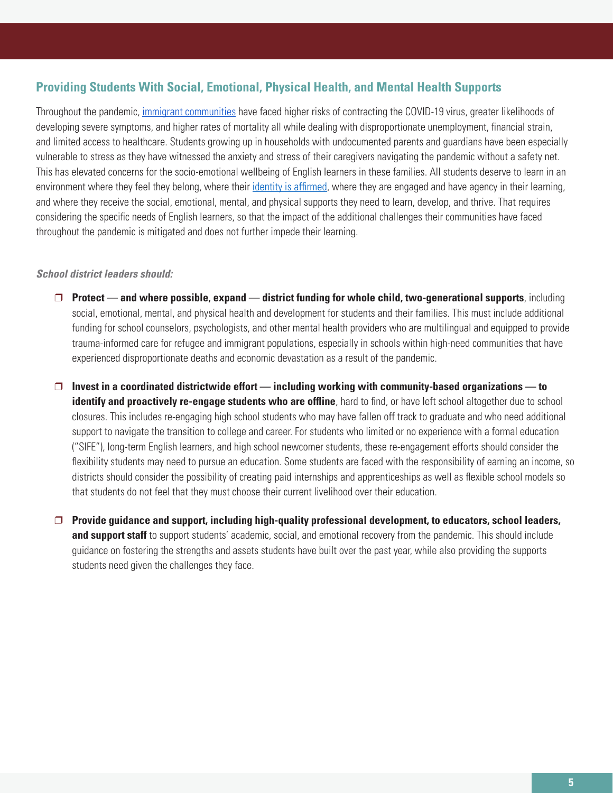## **Providing Students With Social, Emotional, Physical Health, and Mental Health Supports**

Throughout the pandemic, [immigrant communities](https://www.ncbi.nlm.nih.gov/pmc/articles/PMC7357736/#:~:text=Because undocumented immigrants are ineligible,financial reserve in immigrant households.) have faced higher risks of contracting the COVID-19 virus, greater likelihoods of developing severe symptoms, and higher rates of mortality all while dealing with disproportionate unemployment, financial strain, and limited access to healthcare. Students growing up in households with undocumented parents and guardians have been especially vulnerable to stress as they have witnessed the anxiety and stress of their caregivers navigating the pandemic without a safety net. This has elevated concerns for the socio-emotional wellbeing of English learners in these families. All students deserve to learn in an environment where they feel they belong, where their [identity is affirmed](https://www.edutopia.org/blog/creating-an-identity-safe-classroom-becki-cohn-vargas-dorothy-steele), where they are engaged and have agency in their learning, and where they receive the social, emotional, mental, and physical supports they need to learn, develop, and thrive. That requires considering the specific needs of English learners, so that the impact of the additional challenges their communities have faced throughout the pandemic is mitigated and does not further impede their learning.

#### *School district leaders should:*

- � **Protect and where possible, expand district funding for whole child, two-generational supports**, including social, emotional, mental, and physical health and development for students and their families. This must include additional funding for school counselors, psychologists, and other mental health providers who are multilingual and equipped to provide trauma-informed care for refugee and immigrant populations, especially in schools within high-need communities that have experienced disproportionate deaths and economic devastation as a result of the pandemic.
- � **Invest in a coordinated districtwide effort including working with community-based organizations to identify and proactively re-engage students who are offline**, hard to find, or have left school altogether due to school closures. This includes re-engaging high school students who may have fallen off track to graduate and who need additional support to navigate the transition to college and career. For students who limited or no experience with a formal education ("SIFE"), long-term English learners, and high school newcomer students, these re-engagement efforts should consider the flexibility students may need to pursue an education. Some students are faced with the responsibility of earning an income, so districts should consider the possibility of creating paid internships and apprenticeships as well as flexible school models so that students do not feel that they must choose their current livelihood over their education.
- � **Provide guidance and support, including high-quality professional development, to educators, school leaders, and support staff** to support students' academic, social, and emotional recovery from the pandemic. This should include guidance on fostering the strengths and assets students have built over the past year, while also providing the supports students need given the challenges they face.